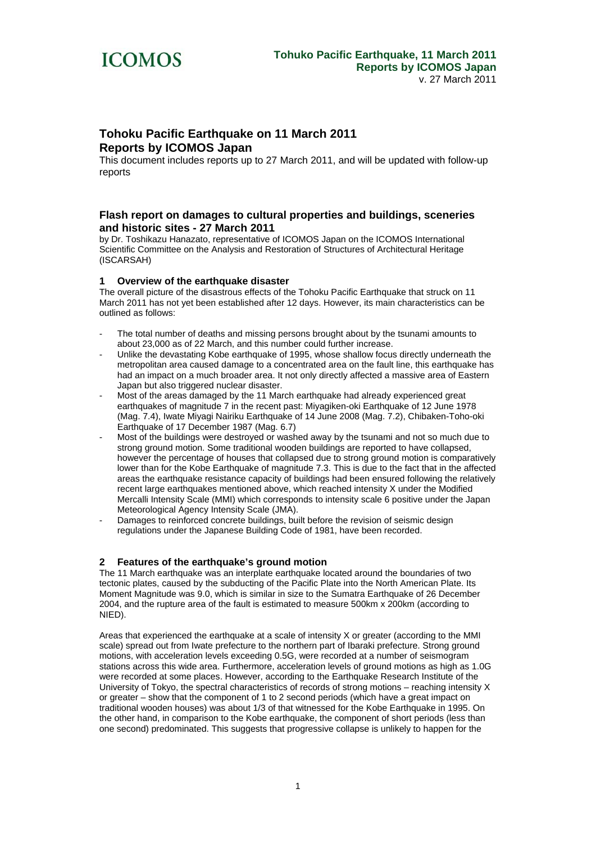

# **Tohoku Pacific Earthquake on 11 March 2011 Reports by ICOMOS Japan**

This document includes reports up to 27 March 2011, and will be updated with follow-up reports

### **Flash report on damages to cultural properties and buildings, sceneries and historic sites - 27 March 2011**

by Dr. Toshikazu Hanazato, representative of ICOMOS Japan on the ICOMOS International Scientific Committee on the Analysis and Restoration of Structures of Architectural Heritage (ISCARSAH)

#### **1 Overview of the earthquake disaster**

The overall picture of the disastrous effects of the Tohoku Pacific Earthquake that struck on 11 March 2011 has not yet been established after 12 days. However, its main characteristics can be outlined as follows:

- The total number of deaths and missing persons brought about by the tsunami amounts to about 23,000 as of 22 March, and this number could further increase.
- Unlike the devastating Kobe earthquake of 1995, whose shallow focus directly underneath the metropolitan area caused damage to a concentrated area on the fault line, this earthquake has had an impact on a much broader area. It not only directly affected a massive area of Eastern Japan but also triggered nuclear disaster.
- Most of the areas damaged by the 11 March earthquake had already experienced great earthquakes of magnitude 7 in the recent past: Miyagiken-oki Earthquake of 12 June 1978 (Mag. 7.4), Iwate Miyagi Nairiku Earthquake of 14 June 2008 (Mag. 7.2), Chibaken-Toho-oki Earthquake of 17 December 1987 (Mag. 6.7)
- Most of the buildings were destroyed or washed away by the tsunami and not so much due to strong ground motion. Some traditional wooden buildings are reported to have collapsed, however the percentage of houses that collapsed due to strong ground motion is comparatively lower than for the Kobe Earthquake of magnitude 7.3. This is due to the fact that in the affected areas the earthquake resistance capacity of buildings had been ensured following the relatively recent large earthquakes mentioned above, which reached intensity X under the Modified Mercalli Intensity Scale (MMI) which corresponds to intensity scale 6 positive under the Japan Meteorological Agency Intensity Scale (JMA).
- Damages to reinforced concrete buildings, built before the revision of seismic design regulations under the Japanese Building Code of 1981, have been recorded.

#### **2 Features of the earthquake's ground motion**

The 11 March earthquake was an interplate earthquake located around the boundaries of two tectonic plates, caused by the subducting of the Pacific Plate into the North American Plate. Its Moment Magnitude was 9.0, which is similar in size to the Sumatra Earthquake of 26 December 2004, and the rupture area of the fault is estimated to measure 500km x 200km (according to NIED).

Areas that experienced the earthquake at a scale of intensity X or greater (according to the MMI scale) spread out from Iwate prefecture to the northern part of Ibaraki prefecture. Strong ground motions, with acceleration levels exceeding 0.5G, were recorded at a number of seismogram stations across this wide area. Furthermore, acceleration levels of ground motions as high as 1.0G were recorded at some places. However, according to the Earthquake Research Institute of the University of Tokyo, the spectral characteristics of records of strong motions – reaching intensity X or greater – show that the component of 1 to 2 second periods (which have a great impact on traditional wooden houses) was about 1/3 of that witnessed for the Kobe Earthquake in 1995. On the other hand, in comparison to the Kobe earthquake, the component of short periods (less than one second) predominated. This suggests that progressive collapse is unlikely to happen for the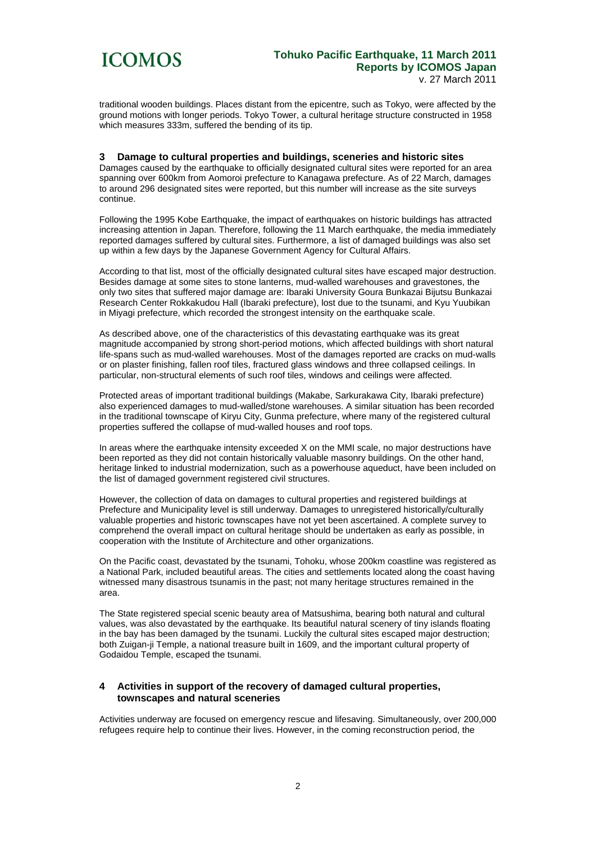

traditional wooden buildings. Places distant from the epicentre, such as Tokyo, were affected by the ground motions with longer periods. Tokyo Tower, a cultural heritage structure constructed in 1958 which measures 333m, suffered the bending of its tip.

#### **3 Damage to cultural properties and buildings, sceneries and historic sites**

Damages caused by the earthquake to officially designated cultural sites were reported for an area spanning over 600km from Aomoroi prefecture to Kanagawa prefecture. As of 22 March, damages to around 296 designated sites were reported, but this number will increase as the site surveys continue.

Following the 1995 Kobe Earthquake, the impact of earthquakes on historic buildings has attracted increasing attention in Japan. Therefore, following the 11 March earthquake, the media immediately reported damages suffered by cultural sites. Furthermore, a list of damaged buildings was also set up within a few days by the Japanese Government Agency for Cultural Affairs.

According to that list, most of the officially designated cultural sites have escaped major destruction. Besides damage at some sites to stone lanterns, mud-walled warehouses and gravestones, the only two sites that suffered major damage are: Ibaraki University Goura Bunkazai Bijutsu Bunkazai Research Center Rokkakudou Hall (Ibaraki prefecture), lost due to the tsunami, and Kyu Yuubikan in Miyagi prefecture, which recorded the strongest intensity on the earthquake scale.

As described above, one of the characteristics of this devastating earthquake was its great magnitude accompanied by strong short-period motions, which affected buildings with short natural life-spans such as mud-walled warehouses. Most of the damages reported are cracks on mud-walls or on plaster finishing, fallen roof tiles, fractured glass windows and three collapsed ceilings. In particular, non-structural elements of such roof tiles, windows and ceilings were affected.

Protected areas of important traditional buildings (Makabe, Sarkurakawa City, Ibaraki prefecture) also experienced damages to mud-walled/stone warehouses. A similar situation has been recorded in the traditional townscape of Kiryu City, Gunma prefecture, where many of the registered cultural properties suffered the collapse of mud-walled houses and roof tops.

In areas where the earthquake intensity exceeded X on the MMI scale, no major destructions have been reported as they did not contain historically valuable masonry buildings. On the other hand, heritage linked to industrial modernization, such as a powerhouse aqueduct, have been included on the list of damaged government registered civil structures.

However, the collection of data on damages to cultural properties and registered buildings at Prefecture and Municipality level is still underway. Damages to unregistered historically/culturally valuable properties and historic townscapes have not yet been ascertained. A complete survey to comprehend the overall impact on cultural heritage should be undertaken as early as possible, in cooperation with the Institute of Architecture and other organizations.

On the Pacific coast, devastated by the tsunami, Tohoku, whose 200km coastline was registered as a National Park, included beautiful areas. The cities and settlements located along the coast having witnessed many disastrous tsunamis in the past; not many heritage structures remained in the area.

The State registered special scenic beauty area of Matsushima, bearing both natural and cultural values, was also devastated by the earthquake. Its beautiful natural scenery of tiny islands floating in the bay has been damaged by the tsunami. Luckily the cultural sites escaped major destruction; both Zuigan-ji Temple, a national treasure built in 1609, and the important cultural property of Godaidou Temple, escaped the tsunami.

#### **4 Activities in support of the recovery of damaged cultural properties, townscapes and natural sceneries**

Activities underway are focused on emergency rescue and lifesaving. Simultaneously, over 200,000 refugees require help to continue their lives. However, in the coming reconstruction period, the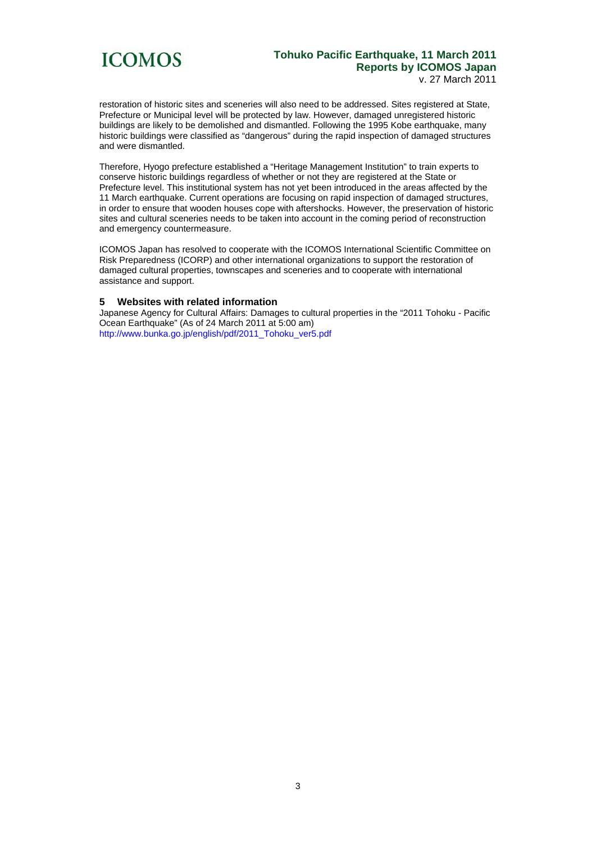

## **Tohuko Pacific Earthquake, 11 March 2011 Reports by ICOMOS Japan**  v. 27 March 2011

restoration of historic sites and sceneries will also need to be addressed. Sites registered at State, Prefecture or Municipal level will be protected by law. However, damaged unregistered historic buildings are likely to be demolished and dismantled. Following the 1995 Kobe earthquake, many historic buildings were classified as "dangerous" during the rapid inspection of damaged structures and were dismantled.

Therefore, Hyogo prefecture established a "Heritage Management Institution" to train experts to conserve historic buildings regardless of whether or not they are registered at the State or Prefecture level. This institutional system has not yet been introduced in the areas affected by the 11 March earthquake. Current operations are focusing on rapid inspection of damaged structures, in order to ensure that wooden houses cope with aftershocks. However, the preservation of historic sites and cultural sceneries needs to be taken into account in the coming period of reconstruction and emergency countermeasure.

ICOMOS Japan has resolved to cooperate with the ICOMOS International Scientific Committee on Risk Preparedness (ICORP) and other international organizations to support the restoration of damaged cultural properties, townscapes and sceneries and to cooperate with international assistance and support.

## **5 Websites with related information**

Japanese Agency for Cultural Affairs: Damages to cultural properties in the "2011 Tohoku - Pacific Ocean Earthquake" (As of 24 March 2011 at 5:00 am) http://www.bunka.go.jp/english/pdf/2011\_Tohoku\_ver5.pdf